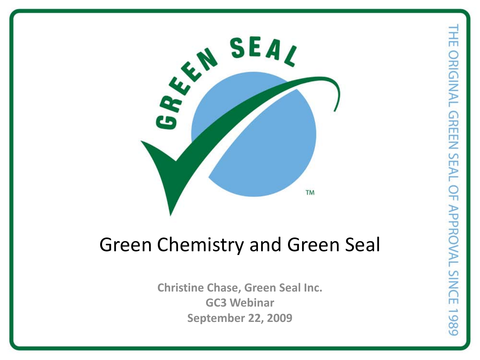

## Green Chemistry and Green Seal

**Christine Chase, Green Seal Inc. GC3 Webinar September 22, 2009**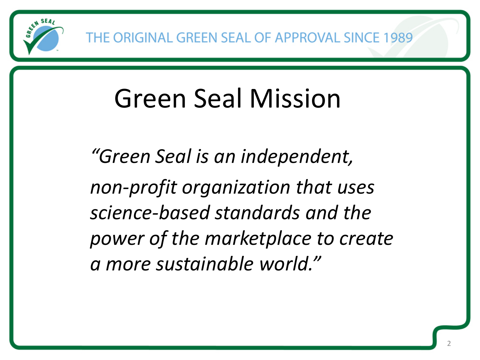# Green Seal Mission

EN SEAL

*"Green Seal is an independent, non-profit organization that uses science-based standards and the power of the marketplace to create a more sustainable world."*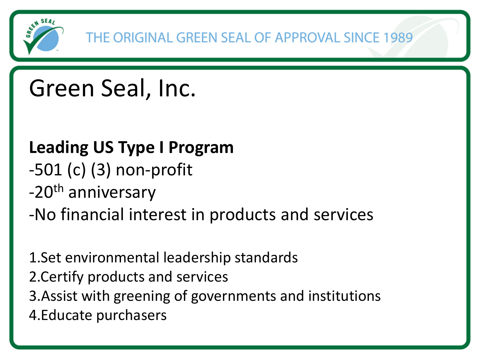## Green Seal, Inc.

EN SEAL

### **Leading US Type I Program**

- -501 (c) (3) non-profit
- -20<sup>th</sup> anniversary
- -No financial interest in products and services

1.Set environmental leadership standards 2.Certify products and services 3.Assist with greening of governments and institutions 4.Educate purchasers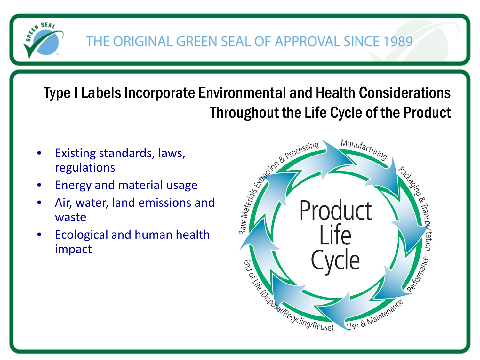### Type I Labels Incorporate Environmental and Health Considerations Throughout the Life Cycle of the Product

• Existing standards, laws, regulations

SEN SEAL

- Energy and material usage
- waste
- Ecological and human health impact

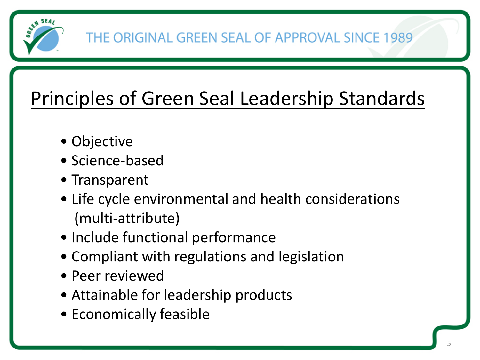

## Principles of Green Seal Leadership Standards

- Objective
- Science-based
- Transparent
- Life cycle environmental and health considerations (multi-attribute)
- Include functional performance
- Compliant with regulations and legislation
- Peer reviewed
- Attainable for leadership products
- Economically feasible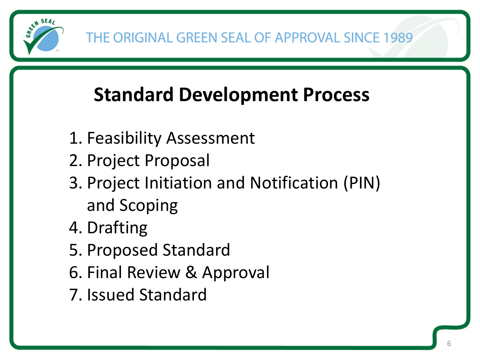

- 2. Project Proposal
- 3. Project Initiation and Notification (PIN) and Scoping
- 4. Drafting
- 5. Proposed Standard
- 6. Final Review & Approval
- 7. Issued Standard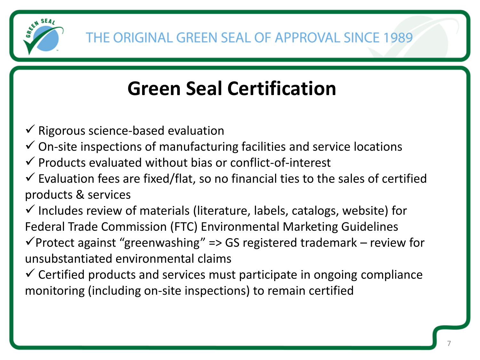

## **Green Seal Certification**

 $\checkmark$  Rigorous science-based evaluation

EN SEAL

- $\checkmark$  On-site inspections of manufacturing facilities and service locations
- $\checkmark$  Products evaluated without bias or conflict-of-interest
- $\checkmark$  Evaluation fees are fixed/flat, so no financial ties to the sales of certified products & services
- $\checkmark$  Includes review of materials (literature, labels, catalogs, website) for Federal Trade Commission (FTC) Environmental Marketing Guidelines  $\checkmark$  Protect against "greenwashing" => GS registered trademark – review for unsubstantiated environmental claims
- $\checkmark$  Certified products and services must participate in ongoing compliance monitoring (including on-site inspections) to remain certified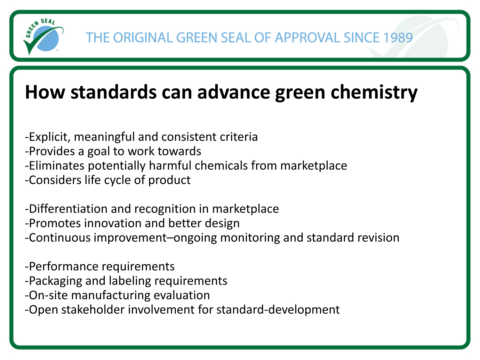## **How standards can advance green chemistry**

-Explicit, meaningful and consistent criteria -Provides a goal to work towards -Eliminates potentially harmful chemicals from marketplace -Considers life cycle of product

EN SEAL

-Differentiation and recognition in marketplace -Promotes innovation and better design -Continuous improvement–ongoing monitoring and standard revision

-Performance requirements -Packaging and labeling requirements -On-site manufacturing evaluation -Open stakeholder involvement for standard-development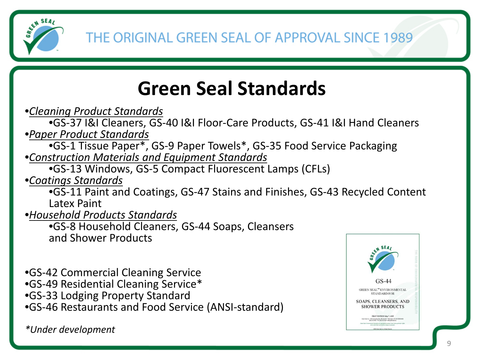

## **Green Seal Standards**

•*Cleaning Product Standards*

•GS-37 I&I Cleaners, GS-40 I&I Floor-Care Products, GS-41 I&I Hand Cleaners •*Paper Product Standards*

•GS-1 Tissue Paper\*, GS-9 Paper Towels\*, GS-35 Food Service Packaging •*Construction Materials and Equipment Standards*

•GS-13 Windows, GS-5 Compact Fluorescent Lamps (CFLs)

•*Coatings Standards*

•GS-11 Paint and Coatings, GS-47 Stains and Finishes, GS-43 Recycled Content Latex Paint

•*Household Products Standards*

•GS-8 Household Cleaners, GS-44 Soaps, Cleansers and Shower Products

•GS-42 Commercial Cleaning Service •GS-49 Residential Cleaning Service\*

- •GS-33 Lodging Property Standard
- •GS-46 Restaurants and Food Service (ANSI-standard)

GREEN SEAL™ ENVIRONMENTAL STANDARD FOR **SOAPS, CLEANSERS, AND SHOWER PRODUCTS** 

*\*Under development*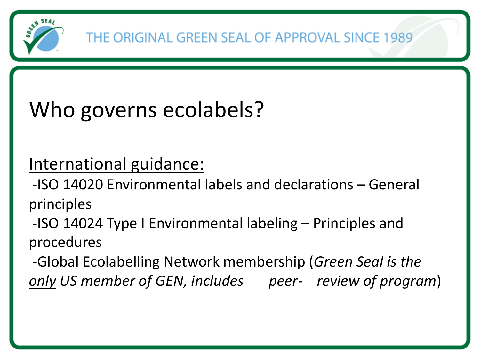

# Who governs ecolabels?

International guidance:

-ISO 14020 Environmental labels and declarations – General principles

-ISO 14024 Type I Environmental labeling – Principles and procedures

-Global Ecolabelling Network membership (*Green Seal is the only US member of GEN, includes peer- review of program*)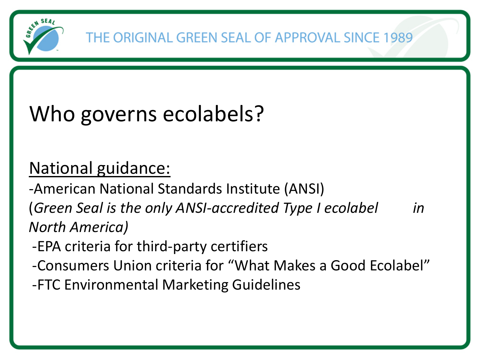

## Who governs ecolabels?

### National guidance:

-American National Standards Institute (ANSI)

(*Green Seal is the only ANSI-accredited Type I ecolabel in North America)*

- -EPA criteria for third-party certifiers
- -Consumers Union criteria for "What Makes a Good Ecolabel" -FTC Environmental Marketing Guidelines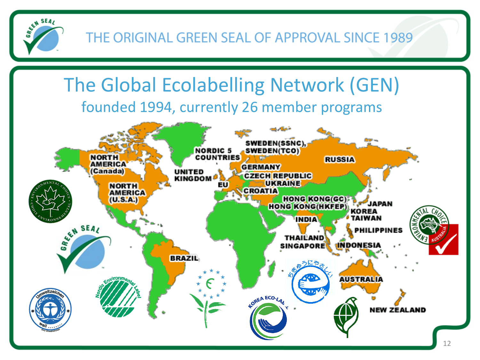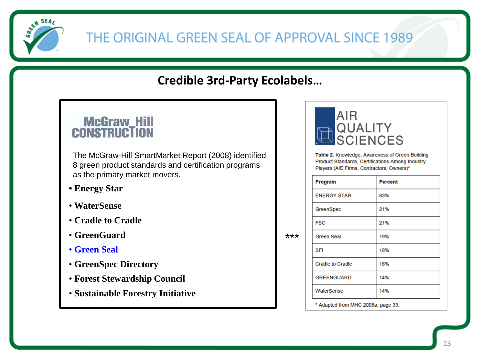

#### **Credible 3rd-Party Ecolabels…**

#### **McGraw\_Hill CONSTRUCTION**

The McGraw-Hill SmartMarket Report (2008) identified 8 green product standards and certification programs as the primary market movers.

- **Energy Star**
- **WaterSense**
- **Cradle to Cradle**
- **GreenGuard**
- **Green Seal**
- **GreenSpec Directory**
- **Forest Stewardship Council**
- **Sustainable Forestry Initiative**



Table 2. Knowledge, Awareness of Green Building Product Standards, Certifications Among Industry Players (A/E Firms, Contractors, Owners)\*

| Program                 | <b>Percent</b> |
|-------------------------|----------------|
| <b>ENERGY STAR</b>      | 83%            |
| GreenSpec               | 21%            |
| <b>FSC</b>              | 21%            |
| <b>Green Seal</b>       | 19%            |
| <b>SFI</b>              | 18%            |
| <b>Cradle to Cradle</b> | 16%            |
| <b>GREENGUARD</b>       | 14%            |
| WaterSense              | 14%            |

\*\*\*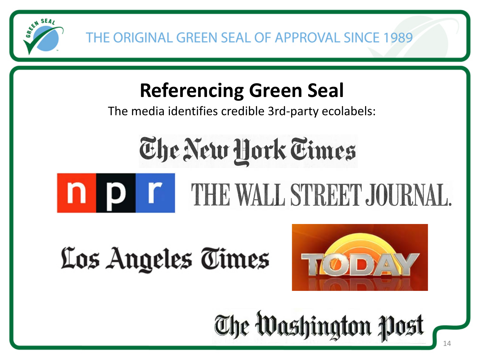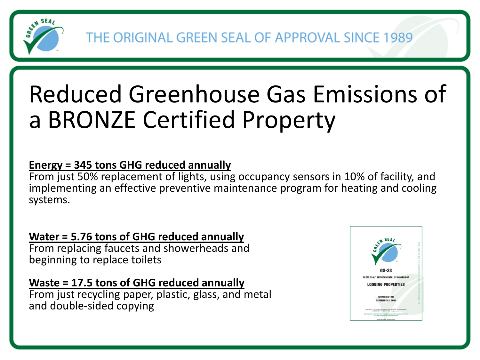

# Reduced Greenhouse Gas Emissions of a BRONZE Certified Property

#### **Energy = 345 tons GHG reduced annually**

From just 50% replacement of lights, using occupancy sensors in 10% of facility, and implementing an effective preventive maintenance program for heating and cooling systems.

### **Water = 5.76 tons of GHG reduced annually**

From replacing faucets and showerheads and beginning to replace toilets

### **Waste = 17.5 tons of GHG reduced annually**

From just recycling paper, plastic, glass, and metal and double-sided copying

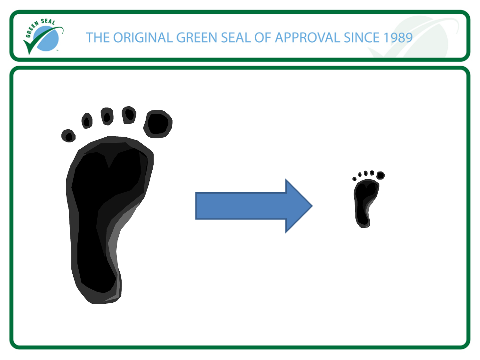